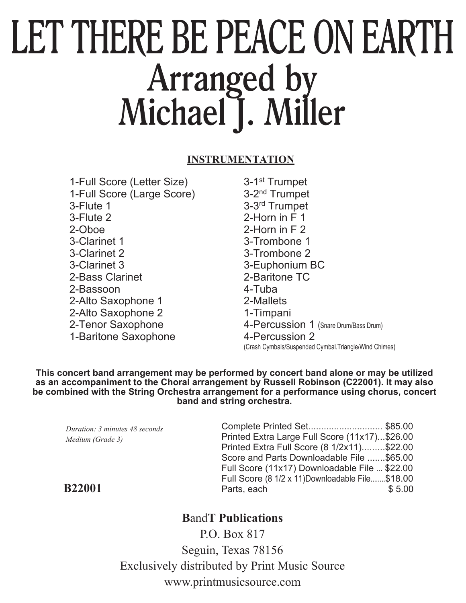# LET THERE BE PEACE ON EARTH Arranged by<br>Michael J. Miller

#### **INSTRUMENTATION**

1-Full Score (Letter Size) 1-Full Score (Large Score) 3-Flute 1 3-Flute 2 2-Oboe 3-Clarinet 1 3-Clarinet 2 3-Clarinet 3 2-Bass Clarinet 2-Bassoon 2-Alto Saxophone 1 2-Alto Saxophone 2 2-Tenor Saxophone 1-Baritone Saxophone

3-1st Trumpet 3-2nd Trumpet 3-3rd Trumpet 2-Horn in F 1 2-Horn in F 2 3-Trombone 1 3-Trombone 2 3-Euphonium BC 2-Baritone TC 4-Tuba 2-Mallets 1-Timpani 4-Percussion 1 (Snare Drum/Bass Drum) 4-Percussion 2 (Crash Cymbals/Suspended Cymbal.Triangle/Wind Chimes)

**This concert band arrangement may be performed by concert band alone or may be utilized as an accompaniment to the Choral arrangement by Russell Robinson (C22001). It may also be combined with the String Orchestra arrangement for a performance using chorus, concert band and string orchestra.**

*Duration: 3 minutes 48 seconds Medium (Grade 3)*

 Complete Printed Set............................. \$85.00 Printed Extra Large Full Score (11x17)...\$26.00 Printed Extra Full Score (8 1/2x11).........\$22.00 Score and Parts Downloadable File .......\$65.00 Full Score (11x17) Downloadable File ... \$22.00 Full Score (8 1/2 x 11)Downloadable File........\$18.00 Parts, each  $\$ 5.00$ 

**B22001**

### **B**and**T Publications**

P.O. Box 817 Seguin, Texas 78156 Exclusively distributed by Print Music Source www.printmusicsource.com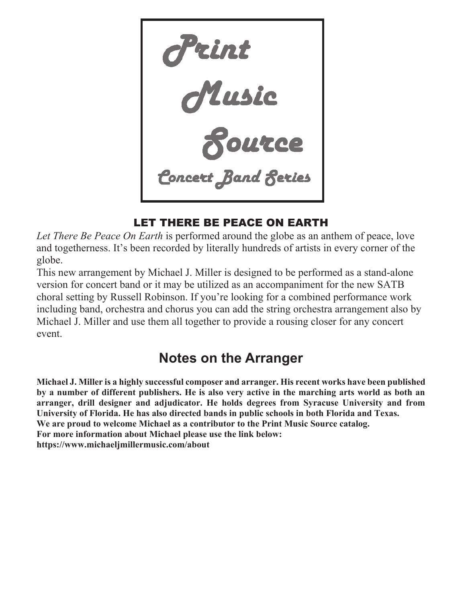

## LET THERE BE PEACE ON EARTH

*Let There Be Peace On Earth* is performed around the globe as an anthem of peace, love and togetherness. It's been recorded by literally hundreds of artists in every corner of the globe.

This new arrangement by Michael J. Miller is designed to be performed as a stand-alone version for concert band or it may be utilized as an accompaniment for the new SATB choral setting by Russell Robinson. If you're looking for a combined performance work including band, orchestra and chorus you can add the string orchestra arrangement also by Michael J. Miller and use them all together to provide a rousing closer for any concert event.

# **Notes on the Arranger**

**Michael J. Miller is a highly successful composer and arranger. His recent works have been published by a number of different publishers. He is also very active in the marching arts world as both an arranger, drill designer and adjudicator. He holds degrees from Syracuse University and from University of Florida. He has also directed bands in public schools in both Florida and Texas. We are proud to welcome Michael as a contributor to the Print Music Source catalog. For more information about Michael please use the link below: https://www.michaeljmillermusic.com/about**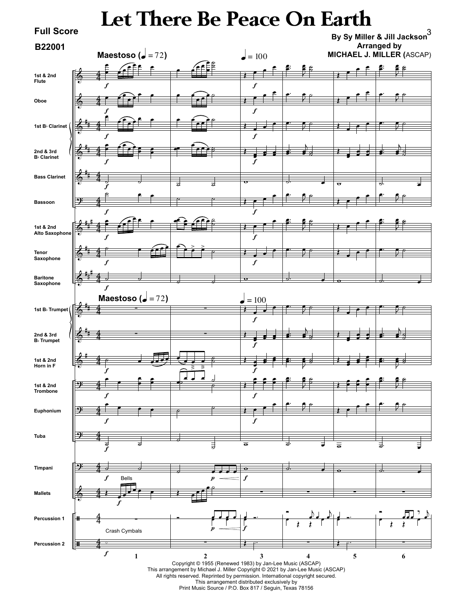6 6 6 6 6 9: 6 6 6 6 6 6 9: 9: 9: 9: 6 H E Ħ Ħ H Ħ ŧ Ħ H Ħ Ħ H Ħ H Ħ Ħ H Ħ H Ħ H 4 \$ 4 4 4 4 4 4 4 4 4 4 4 \$ 4 1 4 4 4 \$ 4 1 4 4 4 4 4 1 4 4 4 4 4 1 4 4 4 \$ **1st & 2nd Flute Oboe 1st B Clarinet 2nd & 3rd B Clarinet Bass Clarinet Bassoon 1st & 2nd Alto Saxophor Tenor Saxophone Baritone Saxophone 1st B Trumpet 2nd & 3rd B Trumpet 1st & 2nd Horn in F 1st & 2nd Trombone Euphonium Tuba Timpani Mallets Percussion 1 Percussion 2** e  $\frac{1}{2}$   $\frac{1}{2}$  $\epsilon$  of  $\epsilon$  is the set of  $\epsilon$  $\epsilon$ ė  $\cdot$   $\cdot$   $\cdot$   $\cdot$  $\colon$  : ŕ  $\frac{1}{2}$   $\frac{1}{2}$ e e e ś  $\frac{1}{2}$  $\sim$   $\sim$   $\sim$  $\overline{\phantom{a}}$   $\overline{\phantom{a}}$ 1  $\equiv$  $\sim$   $\sqrt{2}$  $\cdot$  .  $\stackrel{\bullet}{\longrightarrow}$ É  $\cdot$  , , , ,  $\frac{1}{2}$   $\frac{1}{2}$  $\overline{\phantom{a}}$   $\overline{\phantom{a}}$  $\frac{1}{2}$ -**1**  $\overline{\circ}$ Bells **Maestoso** ( $\overline{)}$  = 72) **Maestoso** ( $\sqrt{ } = 72$ ) t  $\boldsymbol{f}$  $\boldsymbol{f}$ Crash Cymbals  $\boldsymbol{f}$  $\boldsymbol{f}$  $\boldsymbol{f}$  $\boldsymbol{f}$  $\bar{t}$ f  $\boldsymbol{f}$  $\boldsymbol{f}$  $\boldsymbol{f}$  $\boldsymbol{f}$  $\boldsymbol{f}$  $\boldsymbol{f}$ Î  $\overline{\mathbf{r}^2}$ ē g  $\frac{8}{2}$  $\bigcap$  $\sim$  $\bullet$  for  $\circ$  $\overline{\bullet}$   $\overline{\bullet}$  $\rho$  and  $\rho$  $\hat{\mathbf{f}}$  $\cdot$  or  $\cdot$ É  $\sum_{i=1}^{n}$  $\overline{\phantom{a}}$   $\overline{\phantom{a}}$ 1  $\equiv$  $\bullet$ ,  $\bullet$   $\circ$  $\frac{8}{2}$  $\Box$  $\rho$   $\rho$  $rac{1}{\sigma}$   $\epsilon$   $\epsilon$   $\epsilon$  $\overline{\phantom{a}}$ **2**  $\overline{a}$  $\boldsymbol{p}$ .<br>P  $\frac{1}{2}$  $\frac{1}{2}$  $\frac{1}{2}$  $^{\frac{1}{2}}$  ,  $^{\frac{1}{2}}$  $\overline{\mathbf{o}}$  $\epsilon$  e  $\epsilon$  $\epsilon$   $\epsilon$   $\epsilon$   $\epsilon$  $\frac{1}{2}$  $\overline{\mathbf{o}}$  $\frac{1}{2}$  $\ddot{\phantom{a}}$  ,  $\ddot{\phantom{a}}$ È.  $\frac{1}{2}$   $\frac{1}{2}$  $\frac{1}{2}$  $\ddot{\phantom{1}}$  $\ddot{\phantom{1}}$  : É  $\epsilon$  e  $\epsilon$  for  $\epsilon$  $\overline{\bullet}$  $\Omega$ Ξ **3** रैंै  $\bullet$ =100  $= 100$  $\overline{f}$  $\prime$  $\boldsymbol{I}$  $\bar{t}$  $\boldsymbol{f}$  $\boldsymbol{f}$  $\bar{t}$  $\boldsymbol{f}$  $\boldsymbol{f}$ Ĵ  $\bar{t}$  $\boldsymbol{f}$ f  $\boldsymbol{f}$  $\ddot{\cdot}$ e:  $\ddot{\phantom{a}}$ ś ុំខ្ P  $\bullet$  ,  $\overline{5}$   $\rho$  $\cdot$  ,  $\overline{5}$   $\overline{6}$  $\cdot$   $\cdot$  $\bullet_s$  $\partial$ .  $\bullet$   $\bullet$ 5 p <u>:</u> e:  $\overset{\bullet}{\longrightarrow}$ ś  $\frac{2}{3}$  $\frac{8}{2}$  $\bullet$   $\circ$  $5e$   $\cdot$  ,  $5e$  $\leftarrow$  $\clubsuit_s$  $\frac{1}{2}$  $\bullet$  ,  $\frac{2}{3}$  $\cdot$ £  $\ddot{\phantom{a}}$ ś  $\frac{2}{3}$  $\frac{8}{2}$  $\cdot$  , 9<br>1<br>1  $\frac{1}{\sigma}$   $\frac{1}{\sigma}$ d.  $\qquad \qquad \bullet$  $\overline{a}$  $\overline{\phantom{a}}$   $\begin{array}{c|c|c|c|c|c} \hline \text{.} & \text{.} & \text{.} \\ \hline \end{array}$ **4**  $\overline{ }$  $\begin{array}{c} \begin{array}{c} \bullet \\ \bullet \end{array} \end{array}$  $\begin{array}{c} \begin{array}{c} \bullet \\ \bullet \end{array} \end{array}$  $\frac{1}{2}$  $^{\mathrel{\mathop{\mathsf{t}}}}$  , :  $\colon \colon$  $\bullet$  $\overline{\mathbf{o}}$  $\epsilon$   $\epsilon$   $\epsilon$  $\epsilon$   $\epsilon$   $\epsilon$  $\frac{1}{2}$ o  $\epsilon$  ,  $\epsilon$  ,  $\epsilon$  $^{\mathrel{\mathop{\scriptstyle \varepsilon}}\nolimits}$  , :  $\colon$  $\bullet$  $\frac{1}{2}$  ,  $\frac{1}{2}$  $\ddot{\bullet}$  $\frac{1}{2}$  $\cdot$  :  $\cdot$  : Ē  $\epsilon$   $\epsilon$   $\epsilon$  $\overline{\bullet}$ 0 Ξ <u>, .</u> **5** रैं ° : e:  $\ddot{\phantom{1}}$ ś **e** 2  $\bullet$  ,  $\overline{P}$  $\cdot$  , صو  $\cdot$   $\cdot$  $\bullet_s$  $\frac{6}{5}$  $\overline{\partial}$ .  $\bullet$   $\bullet$ <u>գ թ</u> : e:  $\overset{\bullet}{\longrightarrow}$ ś  $\frac{2}{3}$  $\bullet$   $\circ$  $5e$  $\frac{1}{2}$ .  $\bullet$  ,  $5e$  $\leftarrow$  $\bullet_s$  $\frac{6}{5}$ :  $\bullet$   $\bullet$  $\overline{\mathbf{s}}$ : f:  $\ddot{\phantom{a}}$ ś  $\frac{2}{3}$  $\bullet$   $\bullet$ 9<br>1<br>1  $\frac{1}{\phi}$ .  $\frac{1}{2}$ .  $\overline{a}$  $\begin{array}{c}\n\bullet \\
\bullet \\
\bullet \\
\bullet \\
\bullet \\
\bullet\n\end{array}$ **6**  $\overline{ }$  $\geq$   $\geq$  $\frac{1}{\geq}$ 3 **Full Score By Sy Miller & Jill Jackson** Copyright © 1955 (Renewed 1983) by Jan-Lee Music (ASCAP) This arrangement by Michael J. Miller Copyright © 2021 by Jan-Lee Music (ASCAP) All rights reserved. Reprinted by permission. International copyright secured. This arrangement distributed exclusively by **Arranged by MICHAEL J. MILLER (**ASCAP) **B22001**

Print Music Source / P.O. Box 817 / Seguin, Texas 78156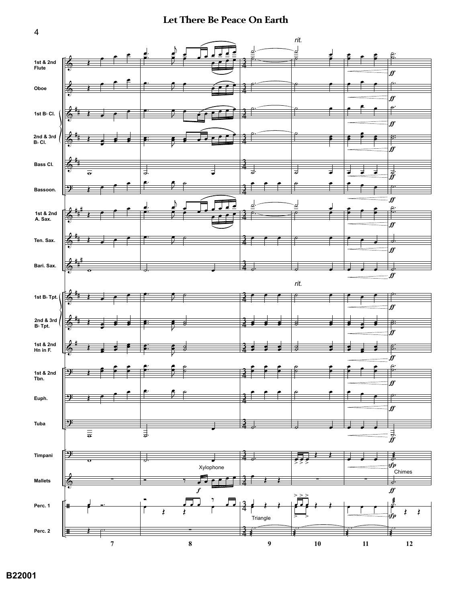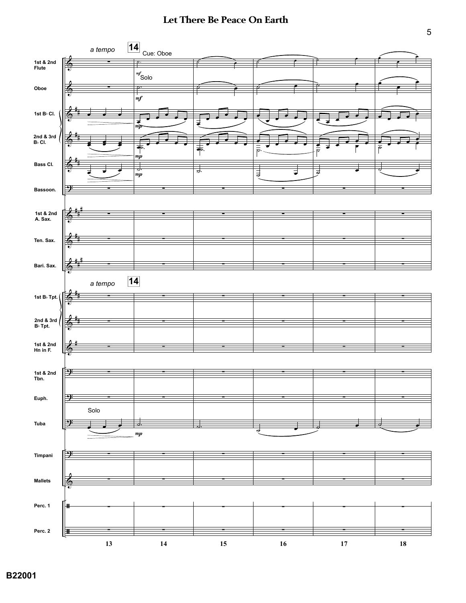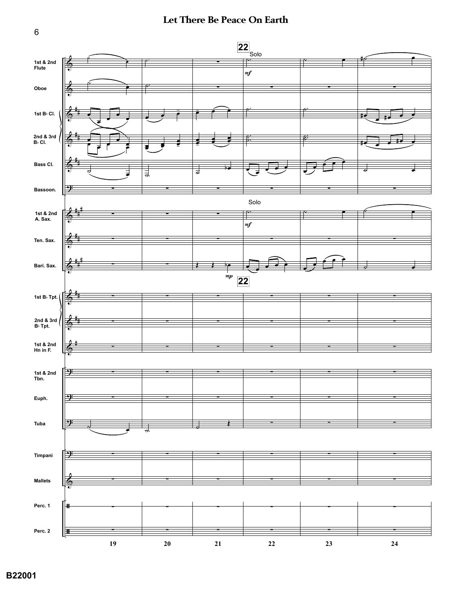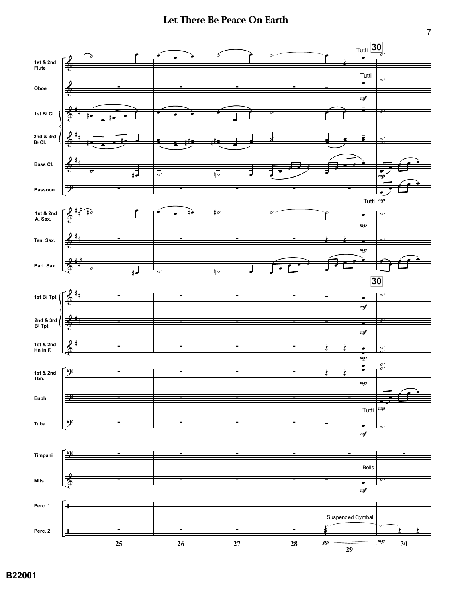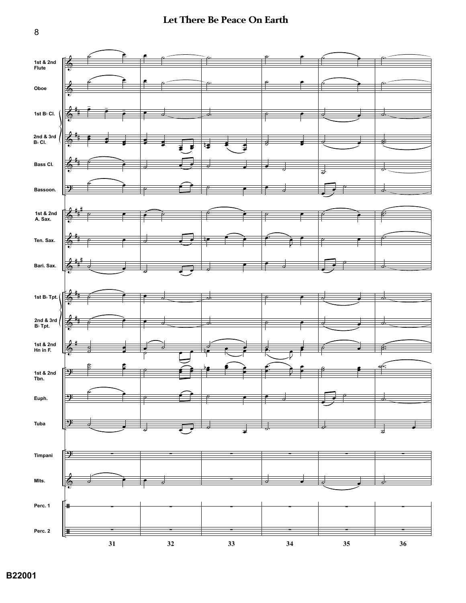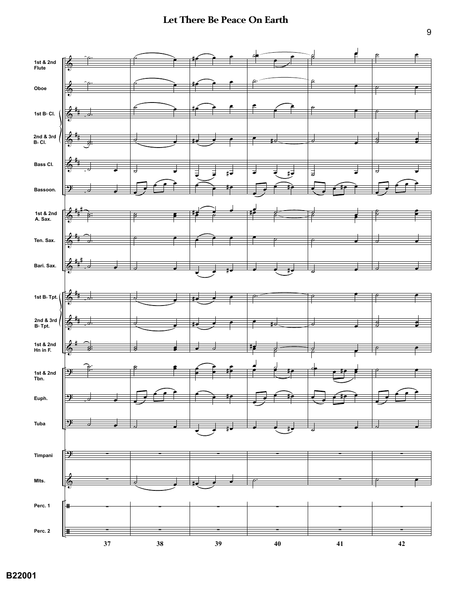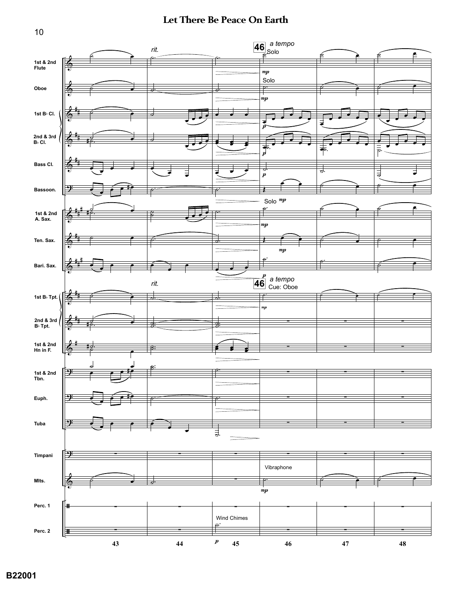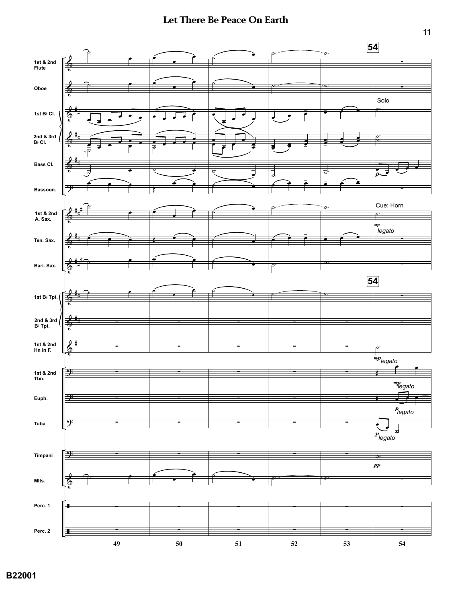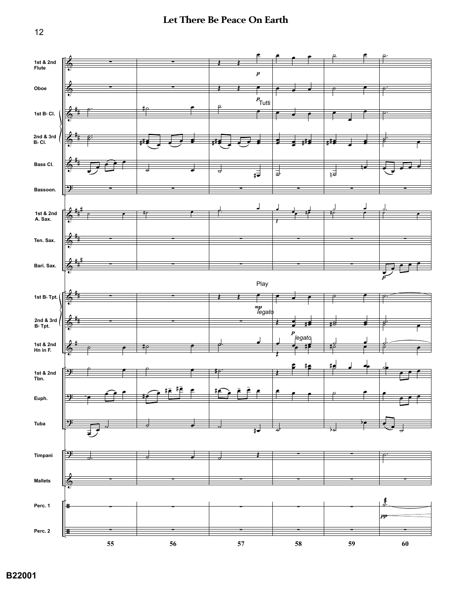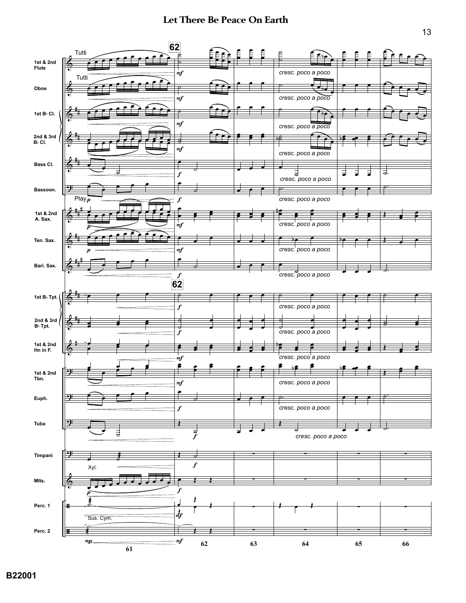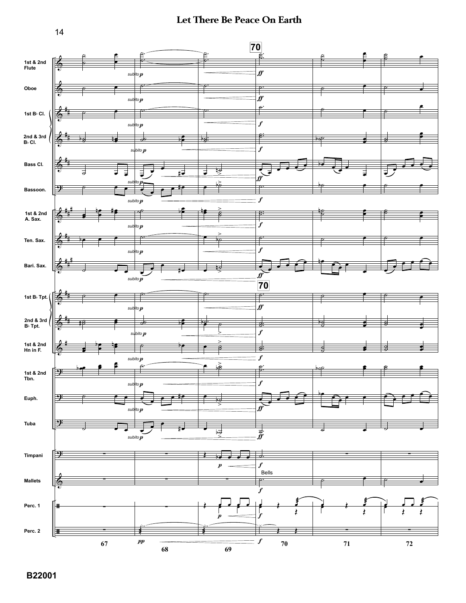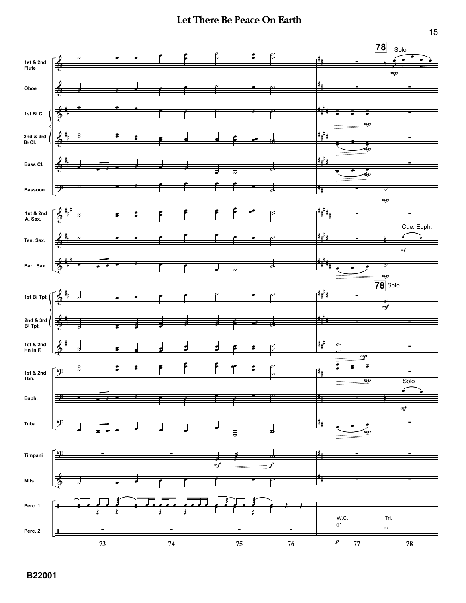**Let There Be Peace On Earth**

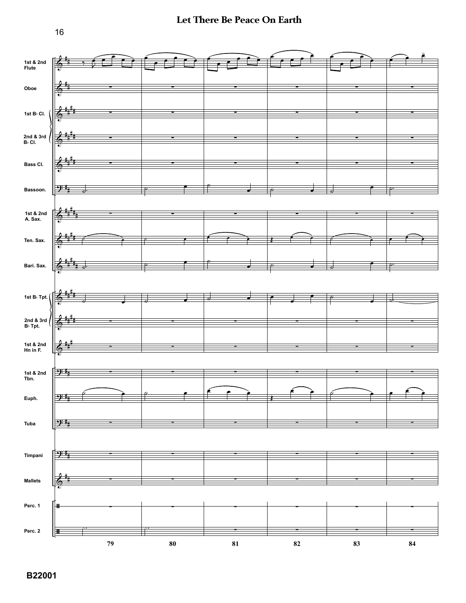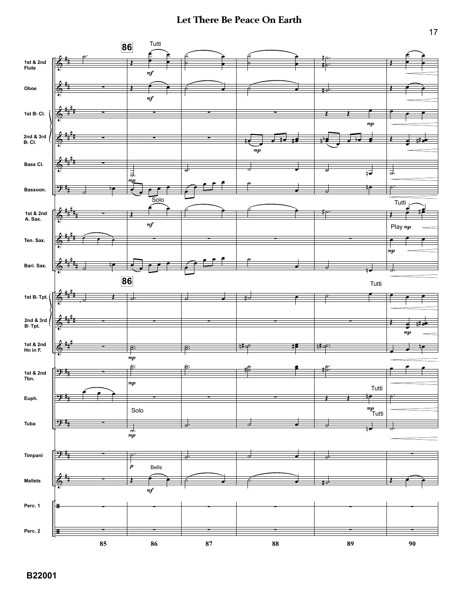

**B22001**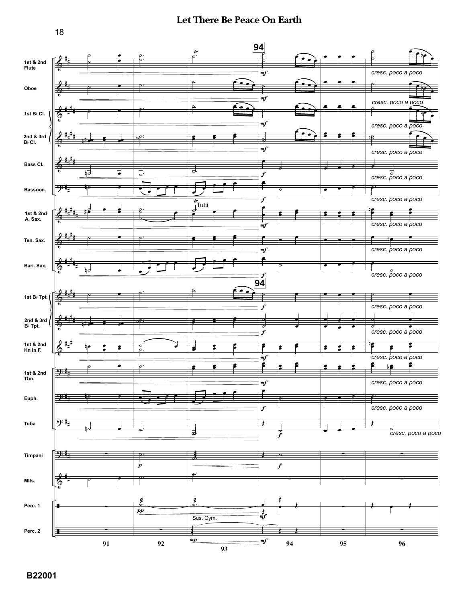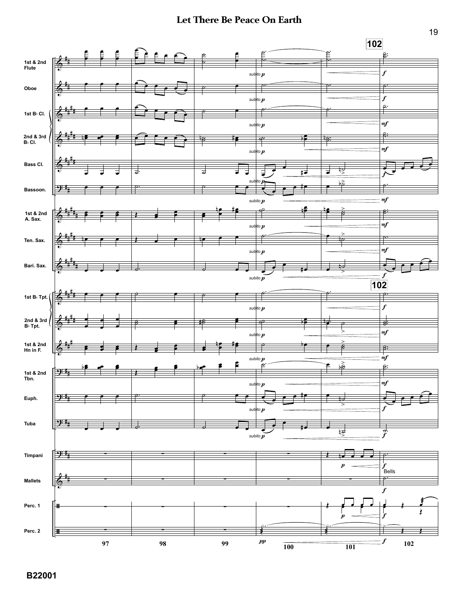

**B22001**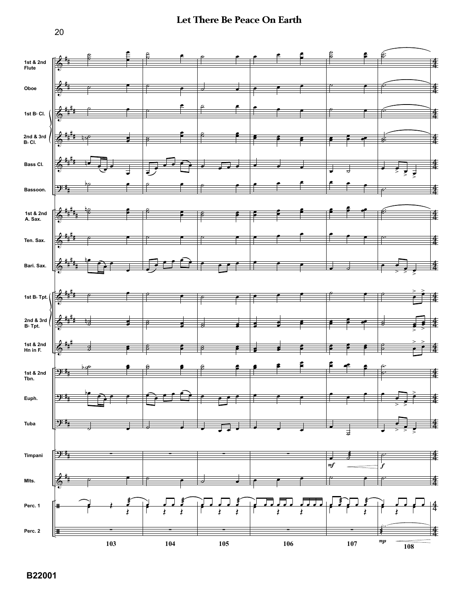

**B22001**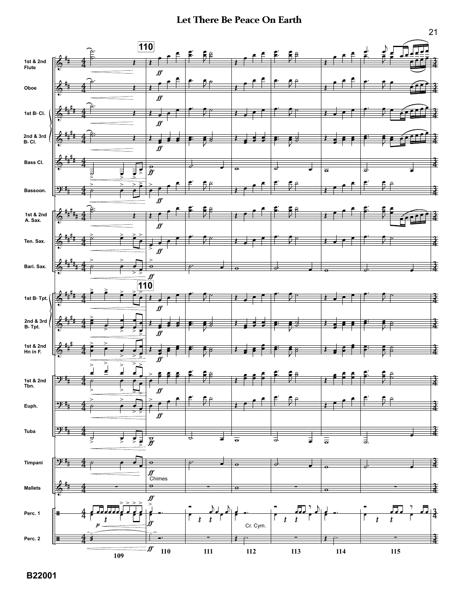

**B22001**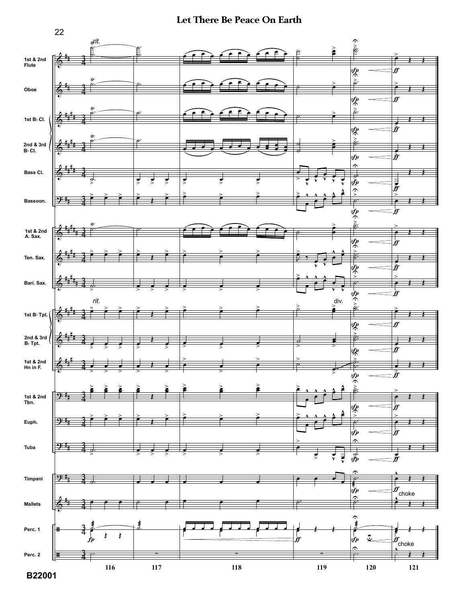

**B22001**